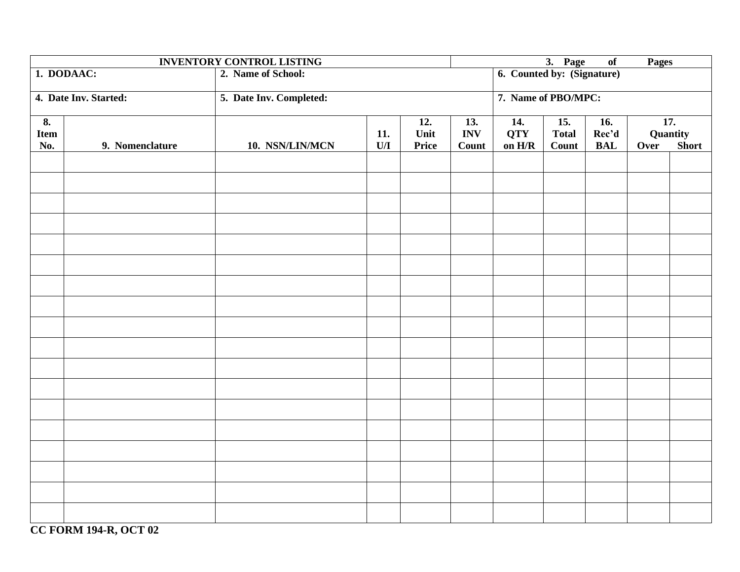|                                                 | <b>INVENTORY CONTROL LISTING</b> |                                                       | 3. Page<br>$\overline{of}$<br><b>Pages</b> |  |                                   |                               |                                            |                            |                                                       |  |
|-------------------------------------------------|----------------------------------|-------------------------------------------------------|--------------------------------------------|--|-----------------------------------|-------------------------------|--------------------------------------------|----------------------------|-------------------------------------------------------|--|
|                                                 | 1. DODAAC:                       | 2. Name of School:                                    |                                            |  |                                   | 6. Counted by: (Signature)    |                                            |                            |                                                       |  |
| 4. Date Inv. Started:                           |                                  | 5. Date Inv. Completed:                               |                                            |  |                                   | 7. Name of PBO/MPC:           |                                            |                            |                                                       |  |
| $\overline{\mathbf{8}}$ .<br><b>Item</b><br>No. | 9. Nomenclature                  | 12.<br>Unit<br>11.<br>U/I<br>Price<br>10. NSN/LIN/MCN |                                            |  | 13.<br><b>INV</b><br><b>Count</b> | 14.<br><b>QTY</b><br>on $H/R$ | $\overline{15}$ .<br><b>Total</b><br>Count | 16.<br>Rec'd<br><b>BAL</b> | $\overline{17}$ .<br>Quantity<br><b>Short</b><br>Over |  |
|                                                 |                                  |                                                       |                                            |  |                                   |                               |                                            |                            |                                                       |  |
|                                                 |                                  |                                                       |                                            |  |                                   |                               |                                            |                            |                                                       |  |
|                                                 |                                  |                                                       |                                            |  |                                   |                               |                                            |                            |                                                       |  |
|                                                 |                                  |                                                       |                                            |  |                                   |                               |                                            |                            |                                                       |  |
|                                                 |                                  |                                                       |                                            |  |                                   |                               |                                            |                            |                                                       |  |
|                                                 |                                  |                                                       |                                            |  |                                   |                               |                                            |                            |                                                       |  |
|                                                 |                                  |                                                       |                                            |  |                                   |                               |                                            |                            |                                                       |  |
|                                                 |                                  |                                                       |                                            |  |                                   |                               |                                            |                            |                                                       |  |
|                                                 |                                  |                                                       |                                            |  |                                   |                               |                                            |                            |                                                       |  |
|                                                 |                                  |                                                       |                                            |  |                                   |                               |                                            |                            |                                                       |  |
|                                                 |                                  |                                                       |                                            |  |                                   |                               |                                            |                            |                                                       |  |
|                                                 |                                  |                                                       |                                            |  |                                   |                               |                                            |                            |                                                       |  |
|                                                 |                                  |                                                       |                                            |  |                                   |                               |                                            |                            |                                                       |  |
|                                                 |                                  |                                                       |                                            |  |                                   |                               |                                            |                            |                                                       |  |
|                                                 |                                  |                                                       |                                            |  |                                   |                               |                                            |                            |                                                       |  |
|                                                 |                                  |                                                       |                                            |  |                                   |                               |                                            |                            |                                                       |  |
|                                                 |                                  |                                                       |                                            |  |                                   |                               |                                            |                            |                                                       |  |
|                                                 |                                  |                                                       |                                            |  |                                   |                               |                                            |                            |                                                       |  |

**CC FORM 194-R, OCT 02**